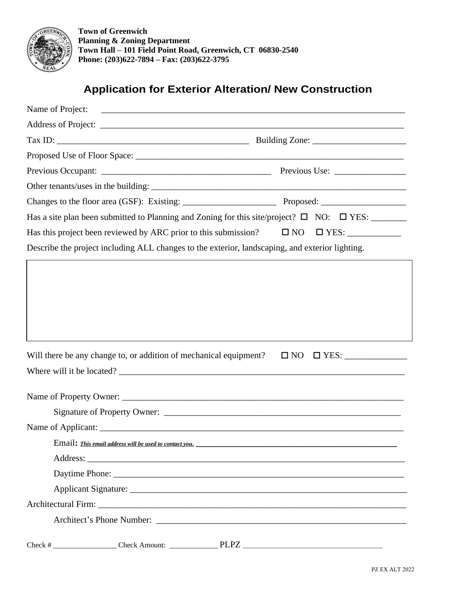

**Town of Greenwich Planning & Zoning Department Town Hall – 101 Field Point Road, Greenwich, CT 06830-2540 Phone: (203)622-7894 – Fax: (203)622-3795**

## **Application for Exterior Alteration/ New Construction**

| Name of Project: |                                                                                                 |  |                                                                                                                                                                                                                                      |
|------------------|-------------------------------------------------------------------------------------------------|--|--------------------------------------------------------------------------------------------------------------------------------------------------------------------------------------------------------------------------------------|
|                  |                                                                                                 |  |                                                                                                                                                                                                                                      |
|                  |                                                                                                 |  |                                                                                                                                                                                                                                      |
|                  |                                                                                                 |  |                                                                                                                                                                                                                                      |
|                  |                                                                                                 |  |                                                                                                                                                                                                                                      |
|                  |                                                                                                 |  |                                                                                                                                                                                                                                      |
|                  |                                                                                                 |  |                                                                                                                                                                                                                                      |
|                  |                                                                                                 |  | Has a site plan been submitted to Planning and Zoning for this site/project? $\Box$ NO: $\Box$ YES:                                                                                                                                  |
|                  |                                                                                                 |  |                                                                                                                                                                                                                                      |
|                  | Describe the project including ALL changes to the exterior, landscaping, and exterior lighting. |  |                                                                                                                                                                                                                                      |
|                  | Will there be any change to, or addition of mechanical equipment?                               |  | $\Box$ NO $\Box$ YES: _______________                                                                                                                                                                                                |
|                  |                                                                                                 |  | Where will it be located?                                                                                                                                                                                                            |
|                  |                                                                                                 |  |                                                                                                                                                                                                                                      |
|                  |                                                                                                 |  |                                                                                                                                                                                                                                      |
|                  |                                                                                                 |  |                                                                                                                                                                                                                                      |
|                  |                                                                                                 |  |                                                                                                                                                                                                                                      |
|                  |                                                                                                 |  |                                                                                                                                                                                                                                      |
|                  |                                                                                                 |  | Daytime Phone: <u>New York: New York: New York: New York: New York: New York: New York: New York: New York: New York: New York: New York: New York: New York: New York: New York: New York: New York: New York: New York: New Yo</u> |
|                  |                                                                                                 |  |                                                                                                                                                                                                                                      |
|                  |                                                                                                 |  |                                                                                                                                                                                                                                      |
|                  |                                                                                                 |  |                                                                                                                                                                                                                                      |
|                  |                                                                                                 |  |                                                                                                                                                                                                                                      |